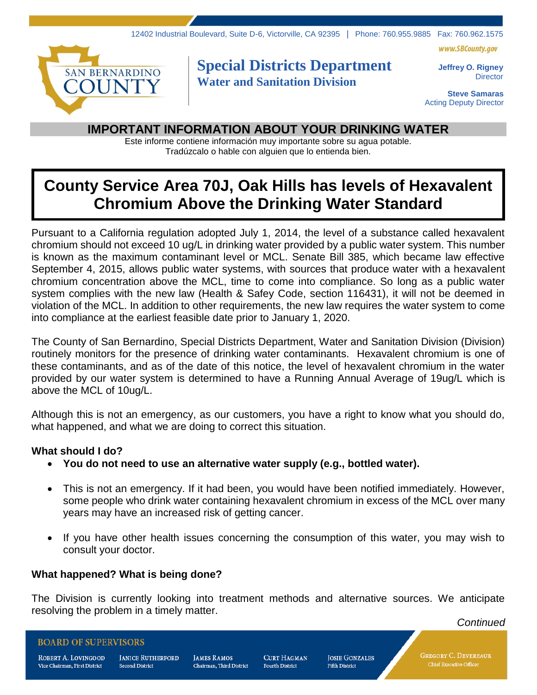www.SBCounty.gov



## **Special Districts Department Water and Sanitation Division**

**Jeffrey O. Rigney Director** 

**Steve Samaras** Acting Deputy Director

### **IMPORTANT INFORMATION ABOUT YOUR DRINKING WATER**

Este informe contiene información muy importante sobre su agua potable. Tradúzcalo o hable con alguien que lo entienda bien.

# **County Service Area 70J, Oak Hills has levels of Hexavalent Chromium Above the Drinking Water Standard**

Pursuant to a California regulation adopted July 1, 2014, the level of a substance called hexavalent chromium should not exceed 10 ug/L in drinking water provided by a public water system. This number is known as the maximum contaminant level or MCL. Senate Bill 385, which became law effective September 4, 2015, allows public water systems, with sources that produce water with a hexavalent chromium concentration above the MCL, time to come into compliance. So long as a public water system complies with the new law (Health & Safey Code, section 116431), it will not be deemed in violation of the MCL. In addition to other requirements, the new law requires the water system to come into compliance at the earliest feasible date prior to January 1, 2020.

The County of San Bernardino, Special Districts Department, Water and Sanitation Division (Division) routinely monitors for the presence of drinking water contaminants. Hexavalent chromium is one of these contaminants, and as of the date of this notice, the level of hexavalent chromium in the water provided by our water system is determined to have a Running Annual Average of 19ug/L which is above the MCL of 10ug/L.

Although this is not an emergency, as our customers, you have a right to know what you should do, what happened, and what we are doing to correct this situation.

#### **What should I do?**

- **You do not need to use an alternative water supply (e.g., bottled water).**
- This is not an emergency. If it had been, you would have been notified immediately. However, some people who drink water containing hexavalent chromium in excess of the MCL over many years may have an increased risk of getting cancer.
- If you have other health issues concerning the consumption of this water, you may wish to consult your doctor.

#### **What happened? What is being done?**

The Division is currently looking into treatment methods and alternative sources. We anticipate resolving the problem in a timely matter.

*Continued*

#### **BOARD OF SUPERVISORS**

ROBERT A. LOVINGOOD Vice Chairman, First District

**JANICE RUTHERFORD Second District** 

**JAMES RAMOS** Chairman. Third District **CURT HAGMAN Fourth District** 

**JOSIE GONZALES Fifth District** 

**GREGORY C. DEVEREAUX** Chief Executive Officer